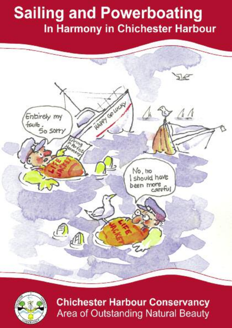# **Sailing and Powerboating** In Harmony in Chichester Harbour





**Chichester Harbour Conservancy** Area of Outstanding Natural Beauty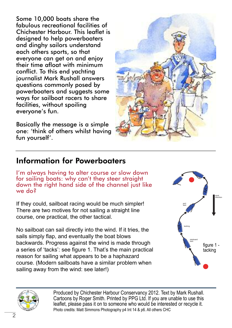Some 10,000 boats share the fabulous recreational facilities of Chichester Harbour. This leaflet is designed to help powerboaters and dinghy sailors understand each others sports, so that everyone can get on and enjoy their time afloat with minimum conflict. To this end yachting journalist Mark Rushall answers questions commonly posed by powerboaters and suggests some ways for sailboat racers to share facilities, without spoiling everyone's fun.

Basically the message is a simple one: 'think of others whilst having fun yourself'.

## Information for Powerboaters

I'm always having to alter course or slow down for sailing boats: why can't they steer straight down the right hand side of the channel just like we do?

If they could, sailboat racing would be much simpler! There are two motives for not sailing a straight line course, one practical, the other tactical.

No sailboat can sail directly into the wind. If it tries, the sails simply flap, and eventually the boat blows backwards. Progress against the wind is made through a series of 'tacks': see figure 1. That's the main practical reason for sailing what appears to be a haphazard course. (Modern sailboats have a similar problem when sailing away from the wind: see later!)





Produced by Chichester Harbour Conservancy 2012. Text by Mark Rushall. Cartoons by Roger Smith. Printed by PPG Ltd. If you are unable to use this leaflet, please pass it on to someone who would be interested or recycle it. Photo credits: Matt Simmons Photography p4 Int 14 & p6. All others CHC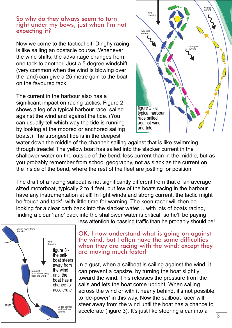#### So why do they always seem to turn right under my bows, just when I'm not expecting it?

Now we come to the tactical bit! Dinghy racing is like sailing an obstacle course. Whenever the wind shifts, the advantage changes from one tack to another. Just a 5 degree windshift (very common when the wind is blowing over the land) can give a 25 metre gain to the boat on the favoured tack.

The current in the harbour also has a significant impact on racing tactics. Figure 2 shows a leg of a typical harbour race, sailed against the wind and against the tide. (You can usually tell which way the tide is running by looking at the moored or anchored sailing boats.) The strongest tide is in the deepest



water down the middle of the channel: sailing against that is like swimming through treacle! The yellow boat has sailed into the slacker current in the shallower water on the outside of the bend: less current than in the middle, but as you probably remember from school geography, not as slack as the current on the inside of the bend, where the rest of the fleet are jostling for position.

The draft of a racing sailboat is not significantly different from that of an average sized motorboat, typically 2 to 4 feet, but few of the boats racing in the harbour have any instrumentation at all! In light winds and strong current, the tactic might be 'touch and tack', with little time for warning. The keen racer will then be looking for a clear path back into the slacker water… with lots of boats racing, finding a clear 'lane' back into the shallower water is critical, so he'll be paying



less attention to passing traffic than he probably should be!

#### OK, I now understand what is going on against the wind, but I often have the same difficulties when they are racing with the wind: except they are moving much faster!

In a gust, when a sailboat is sailing against the wind, it can prevent a capsize, by turning the boat slightly toward the wind. This releases the pressure from the sails and lets the boat come upright. When sailing across the wind or with it nearly behind, it's not possible to 'de-power' in this way. Now the sailboat racer will steer away from the wind until the boat has a chance to accelerate (figure 3). It's just like steering a car into a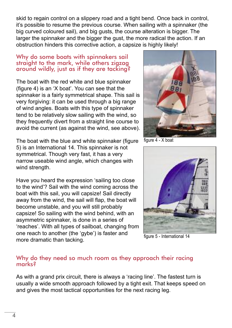skid to regain control on a slippery road and a tight bend. Once back in control, it's possible to resume the previous course. When sailing with a spinnaker (the big curved coloured sail), and big gusts, the course alteration is bigger. The larger the spinnaker and the bigger the gust, the more radical the action. If an obstruction hinders this corrective action, a capsize is highly likely!

#### Why do some boats with spinnakers sail straight to the mark, while others zigzag around wildly, just as if they are tacking?

The boat with the red white and blue spinnaker (figure 4) is an 'X boat'. You can see that the spinnaker is a fairly symmetrical shape. This sail is very forgiving: it can be used through a big range of wind angles. Boats with this type of spinnaker tend to be relatively slow sailing with the wind, so they frequently divert from a straight line course to avoid the current (as against the wind, see above).

The boat with the blue and white spinnaker (figure 5) is an International 14. This spinnaker is not symmetrical. Though very fast, it has a very narrow useable wind angle, which changes with wind strength.

Have you heard the expression 'sailing too close to the wind'? Sail with the wind coming across the boat with this sail, you will capsize! Sail directly away from the wind, the sail will flap, the boat will become unstable, and you will still probably capsize! So sailing with the wind behind, with an asymmetric spinnaker, is done in a series of 'reaches'. With all types of sailboat, changing from one reach to another (the 'gybe') is faster and more dramatic than tacking.



figure 4 - X boat



figure 5 - International 14

### Why do they need so much room as they approach their racing marks?

As with a grand prix circuit, there is always a 'racing line'. The fastest turn is usually a wide smooth approach followed by a tight exit. That keeps speed on and gives the most tactical opportunities for the next racing leg.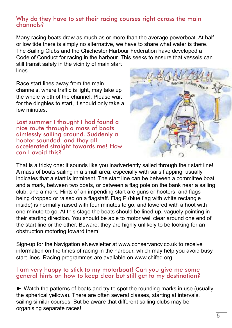### Why do they have to set their racing courses right across the main channels?

Many racing boats draw as much as or more than the average powerboat. At half or low tide there is simply no alternative, we have to share what water is there. The Sailing Clubs and the Chichester Harbour Federation have developed a Code of Conduct for racing in the harbour. This seeks to ensure that vessels can still transit safely in the vicinity of main start lines.

Race start lines away from the main channels, where traffic is light, may take up the whole width of the channel. Please wait for the dinghies to start, it should only take a few minutes.

Last summer I thought I had found a nice route through a mass of boats aimlessly sailing around. Suddenly a hooter sounded, and they all accelerated straight towards me! How can I avoid this?



That is a tricky one: it sounds like you inadvertently sailed through their start line! A mass of boats sailing in a small area, especially with sails flapping, usually indicates that a start is imminent. The start line can be between a committee boat and a mark, between two boats, or between a flag pole on the bank near a sailing club; and a mark. Hints of an impending start are guns or hooters, and flags being dropped or raised on a flagstaff. Flag P (blue flag with white rectangle inside) is normally raised with four minutes to go, and lowered with a hoot with one minute to go. At this stage the boats should be lined up, vaguely pointing in their starting direction. You should be able to motor well clear around one end of the start line or the other. Beware: they are highly unlikely to be looking for an obstruction motoring toward them!

Sign-up for the Navigation eNewsletter at www.conservancy.co.uk to receive information on the times of racing in the harbour, which may help you avoid busy start lines. Racing programmes are available on www.chifed.org.

#### I am very happy to stick to my motorboat! Can you give me some general hints on how to keep clear but still get to my destination?

► Watch the patterns of boats and try to spot the rounding marks in use (usually the spherical yellows). There are often several classes, starting at intervals, sailing similar courses. But be aware that different sailing clubs may be organising separate races!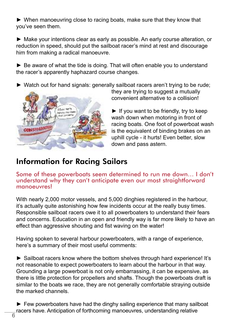► When manoeuvring close to racing boats, make sure that they know that you've seen them.

► Make your intentions clear as early as possible. An early course alteration, or reduction in speed, should put the sailboat racer's mind at rest and discourage him from making a radical manoeuvre.

► Be aware of what the tide is doing. That will often enable you to understand the racer's apparently haphazard course changes.

► Watch out for hand signals: generally sailboat racers aren't trying to be rude;



they are trying to suggest a mutually convenient alternative to a collision!

► If you want to be friendly, try to keep wash down when motoring in front of racing boats. One foot of powerboat wash is the equivalent of binding brakes on an uphill cycle - it hurts! Even better, slow down and pass astern.

# Information for Racing Sailors

#### Some of these powerboats seem determined to run me down… I don't understand why they can't anticipate even our most straightforward manoeuvres!

With nearly 2,000 motor vessels, and 5,000 dinghies registered in the harbour, it's actually quite astonishing how few incidents occur at the really busy times. Responsible sailboat racers owe it to all powerboaters to understand their fears and concerns. Education in an open and friendly way is far more likely to have an effect than aggressive shouting and fist waving on the water!

Having spoken to several harbour powerboaters, with a range of experience, here's a summary of their most useful comments:

► Sailboat racers know where the bottom shelves through hard experience! It's not reasonable to expect powerboaters to learn about the harbour in that way. Grounding a large powerboat is not only embarrassing, it can be expensive, as there is little protection for propellers and shafts. Though the powerboats draft is similar to the boats we race, they are not generally comfortable straying outside the marked channels.

► Few powerboaters have had the dinghy sailing experience that many sailboat racers have. Anticipation of forthcoming manoeuvres, understanding relative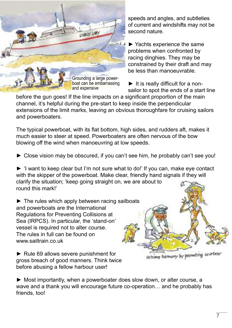

speeds and angles, and subtleties of current and windshifts may not be second nature.

► Yachts experience the same problems when confronted by racing dinghies. They may be constrained by their draft and may be less than manoeuvrable.

 $\blacktriangleright$  It is really difficult for a nonsailor to spot the ends of a start line

before the gun goes! If the line impacts on a significant proportion of the main channel, it's helpful during the pre-start to keep inside the perpendicular extensions of the limit marks, leaving an obvious thoroughfare for cruising sailors and powerboaters.

The typical powerboat, with its flat bottom, high sides, and rudders aft, makes it much easier to steer at speed. Powerboaters are often nervous of the bow blowing off the wind when manoeuvring at low speeds.

► Close vision may be obscured, if you can't see him, he probably can't see you!

► 'I want to keep clear but I'm not sure what to do!' If you can, make eye contact with the skipper of the powerboat. Make clear, friendly hand signals if they will clarify the situation; 'keep going straight on, we are about to round this mark!'

 $\blacktriangleright$  The rules which apply between racing sailboats and powerboats are the International Regulations for Preventing Collisions at Sea (IRPCS). In particular, the 'stand-on' vessel is required not to alter course. The rules in full can be found on www.sailtrain.co.uk

► Rule 69 allows severe punishment for gross breach of good manners. Think twice before abusing a fellow harbour user!

achieve harmony by promoting courtesy

► Most importantly, when a powerboater does slow down, or alter course, a wave and a thank you will encourage future co-operation… and he probably has friends, too!